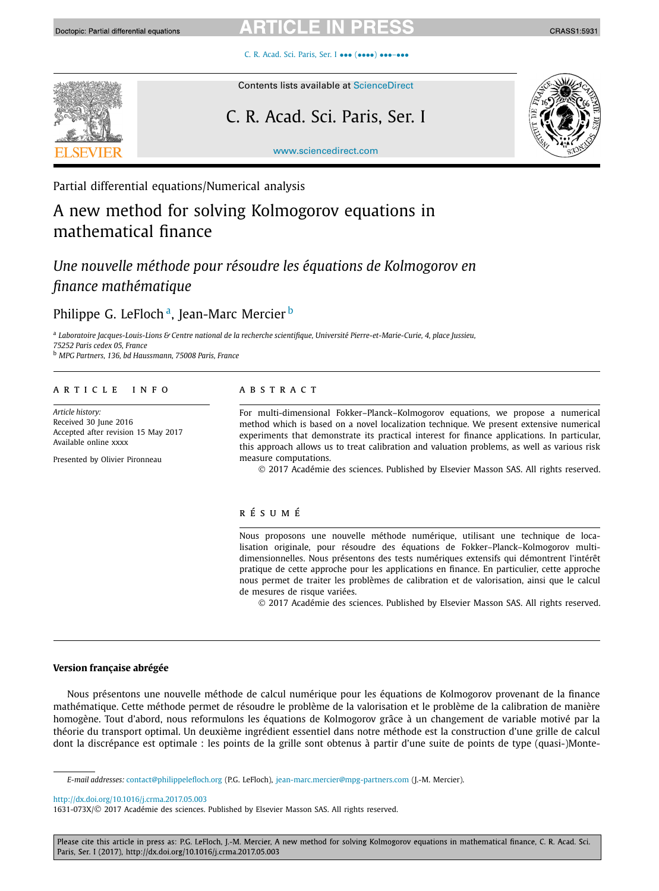# CL.

[C. R. Acad. Sci. Paris, Ser. I](http://dx.doi.org/10.1016/j.crma.2017.05.003) ••• (••••) •••-•••



# Contents lists available at [ScienceDirect](http://www.ScienceDirect.com/)

# C. R. Acad. Sci. Paris, Ser. I



CRASS1:5931

[www.sciencedirect.com](http://www.sciencedirect.com)

Partial differential equations/Numerical analysis

# A new method for solving Kolmogorov equations in mathematical finance

# *Une nouvelle méthode pour résoudre les équations de Kolmogorov en finance mathématique*

# Philippe G. LeFloch<sup>a</sup>, Jean-Marc Mercier<sup>b</sup>

a Laboratoire Jacques-Louis-Lions & Centre national de la recherche scientifique, Université Pierre-et-Marie-Curie, 4, place Jussieu, *75252 Paris cedex 05, France*

<sup>b</sup> *MPG Partners, 136, bd Haussmann, 75008 Paris, France*

# A R T I C L E I N F O A B S T R A C T

*Article history:* Received 30 June 2016 Accepted after revision 15 May 2017 Available online xxxx

Presented by Olivier Pironneau

For multi-dimensional Fokker–Planck–Kolmogorov equations, we propose a numerical method which is based on a novel localization technique. We present extensive numerical experiments that demonstrate its practical interest for finance applications. In particular, this approach allows us to treat calibration and valuation problems, as well as various risk measure computations.

© 2017 Académie des sciences. Published by Elsevier Masson SAS. All rights reserved.

### r é s u m é

Nous proposons une nouvelle méthode numérique, utilisant une technique de localisation originale, pour résoudre des équations de Fokker–Planck–Kolmogorov multidimensionnelles. Nous présentons des tests numériques extensifs qui démontrent l'intérêt pratique de cette approche pour les applications en finance. En particulier, cette approche nous permet de traiter les problèmes de calibration et de valorisation, ainsi que le calcul de mesures de risque variées.

© 2017 Académie des sciences. Published by Elsevier Masson SAS. All rights reserved.

# **Version française abrégée**

Nous présentons une nouvelle méthode de calcul numérique pour les équations de Kolmogorov provenant de la finance mathématique. Cette méthode permet de résoudre le problème de la valorisation et le problème de la calibration de manière homogène. Tout d'abord, nous reformulons les équations de Kolmogorov grâce à un changement de variable motivé par la théorie du transport optimal. Un deuxième ingrédient essentiel dans notre méthode est la construction d'une grille de calcul dont la discrépance est optimale : les points de la grille sont obtenus à partir d'une suite de points de type (quasi-)Monte-

<http://dx.doi.org/10.1016/j.crma.2017.05.003>

Please cite this article in press as: P.G. LeFloch, J.-M. Mercier, A new method for solving Kolmogorov equations in mathematical finance, C. R. Acad. Sci. Paris, Ser. I (2017), http://dx.doi.org/10.1016/j.crma.2017.05.003

*E-mail addresses:* [contact@philippelefloch.org](mailto:contact@philippelefloch.org) (P.G. LeFloch), [jean-marc.mercier@mpg-partners.com](mailto:jean-marc.mercier@mpg-partners.com) (J.-M. Mercier).

<sup>1631-073</sup>X/© 2017 Académie des sciences. Published by Elsevier Masson SAS. All rights reserved.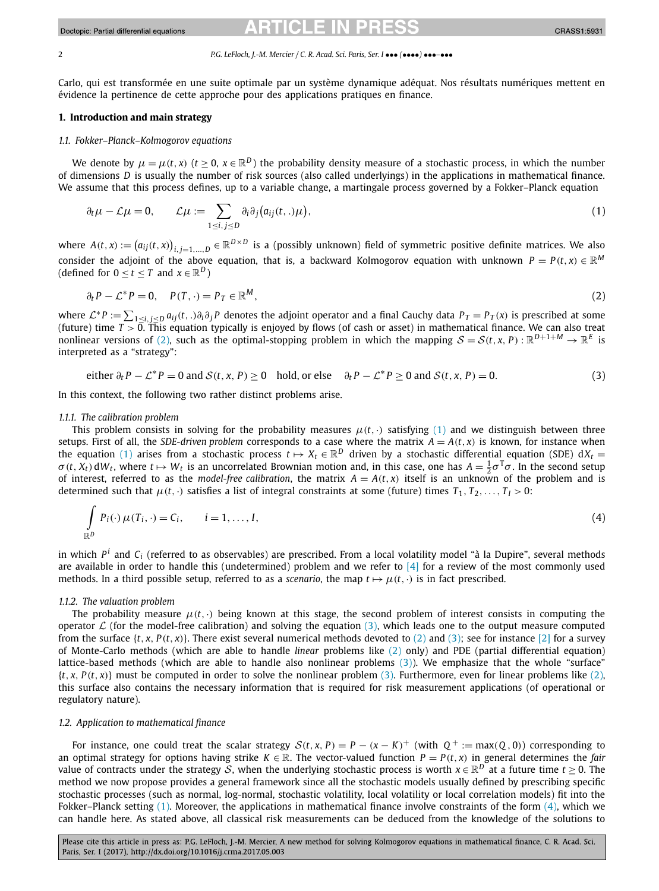#### <span id="page-1-0"></span>2 *P.G. LeFloch, J.-M. Mercier / C. R. Acad. Sci. Paris, Ser. I* ••• *(*••••*)* •••*–*•••

Carlo, qui est transformée en une suite optimale par un système dynamique adéquat. Nos résultats numériques mettent en évidence la pertinence de cette approche pour des applications pratiques en finance.

## **1. Introduction and main strategy**

### *1.1. Fokker–Planck–Kolmogorov equations*

We denote by  $\mu = \mu(t, x)$  ( $t \ge 0$ ,  $x \in \mathbb{R}^D$ ) the probability density measure of a stochastic process, in which the number of dimensions *D* is usually the number of risk sources (also called underlyings) in the applications in mathematical finance. We assume that this process defines, up to a variable change, a martingale process governed by a Fokker–Planck equation

$$
\partial_t \mu - \mathcal{L}\mu = 0, \qquad \mathcal{L}\mu := \sum_{1 \le i, j \le D} \partial_i \partial_j (a_{ij}(t,.)\mu), \tag{1}
$$

where  $A(t, x) := (a_{ij}(t, x))_{i,j=1,...,D} \in \mathbb{R}^{D \times D}$  is a (possibly unknown) field of symmetric positive definite matrices. We also consider the adjoint of the above equation, that is, a backward Kolmogorov equation with unknown  $P = P(t, x) \in \mathbb{R}^M$ (defined for  $0 \le t \le T$  and  $x \in \mathbb{R}^D$ )

$$
\partial_t P - \mathcal{L}^* P = 0, \quad P(T, \cdot) = P_T \in \mathbb{R}^M,
$$
\n<sup>(2)</sup>

where  $\mathcal{L}^*P := \sum_{1 \leq i,j \leq D} a_{ij}(t,.)\partial_i \partial_j P$  denotes the adjoint operator and a final Cauchy data  $P_T = P_T(x)$  is prescribed at some (future) time *T >* 0. This equation typically is enjoyed by flows (of cash or asset) in mathematical finance. We can also treat nonlinear versions of (2), such as the optimal-stopping problem in which the mapping  $S = S(t, x, P) : \mathbb{R}^{D+1+M} \to \mathbb{R}^E$  is interpreted as a "strategy":

either  $\partial_t P - \mathcal{L}^* P = 0$  and  $S(t, x, P) \ge 0$  hold, or else  $\partial_t P - \mathcal{L}^* P \ge 0$  and  $S(t, x, P) = 0$ . (3)

In this context, the following two rather distinct problems arise.

#### *1.1.1. The calibration problem*

This problem consists in solving for the probability measures  $\mu(t, \cdot)$  satisfying (1) and we distinguish between three setups. First of all, the *SDE-driven* problem corresponds to a case where the matrix  $A = A(t, x)$  is known, for instance when the equation (1) arises from a stochastic process  $t \mapsto X_t \in \mathbb{R}^D$  driven by a stochastic differential equation (SDE)  $dX_t =$  $\sigma(t, X_t)$  d $W_t$ , where  $t \mapsto W_t$  is an uncorrelated Brownian motion and, in this case, one has  $A = \frac{1}{2}\sigma^T\sigma$ . In the second setup of interest, referred to as the *model-free calibration*, the matrix  $A = A(t, x)$  itself is an unknown of the problem and is determined such that  $\mu(t, \cdot)$  satisfies a list of integral constraints at some (future) times  $T_1, T_2, \ldots, T_l > 0$ :

$$
\int_{\mathbb{R}^D} P_i(\cdot) \mu(T_i, \cdot) = C_i, \qquad i = 1, \dots, I,
$$
\n(4)

in which  $P^i$  and  $C_i$  (referred to as observables) are prescribed. From a local volatility model "à la Dupire", several methods are available in order to handle this (undetermined) problem and we refer to  $[4]$  for a review of the most commonly used methods. In a third possible setup, referred to as a *scenario*, the map  $t \mapsto \mu(t, \cdot)$  is in fact prescribed.

### *1.1.2. The valuation problem*

The probability measure  $\mu(t, \cdot)$  being known at this stage, the second problem of interest consists in computing the operator  $\mathcal L$  (for the model-free calibration) and solving the equation (3), which leads one to the output measure computed from the surface  $\{t, x, P(t, x)\}$ . There exist several numerical methods devoted to (2) and (3); see for instance [\[2\]](#page-6-0) for a survey of Monte-Carlo methods (which are able to handle *linear* problems like (2) only) and PDE (partial differential equation) lattice-based methods (which are able to handle also nonlinear problems (3)). We emphasize that the whole "surface"  $\{t, x, P(t, x)\}$  must be computed in order to solve the nonlinear problem (3). Furthermore, even for linear problems like (2), this surface also contains the necessary information that is required for risk measurement applications (of operational or regulatory nature).

### *1.2. Application to mathematical finance*

For instance, one could treat the scalar strategy  $S(t, x, P) = P - (x - K)^+$  (with  $Q^+ := max(Q, 0)$ ) corresponding to an optimal strategy for options having strike  $K \in \mathbb{R}$ . The vector-valued function  $P = P(t, x)$  in general determines the *fair* value of contracts under the strategy S, when the underlying stochastic process is worth  $x \in \mathbb{R}^D$  at a future time  $t > 0$ . The method we now propose provides a general framework since all the stochastic models usually defined by prescribing specific stochastic processes (such as normal, log-normal, stochastic volatility, local volatility or local correlation models) fit into the Fokker–Planck setting (1). Moreover, the applications in mathematical finance involve constraints of the form (4), which we can handle here. As stated above, all classical risk measurements can be deduced from the knowledge of the solutions to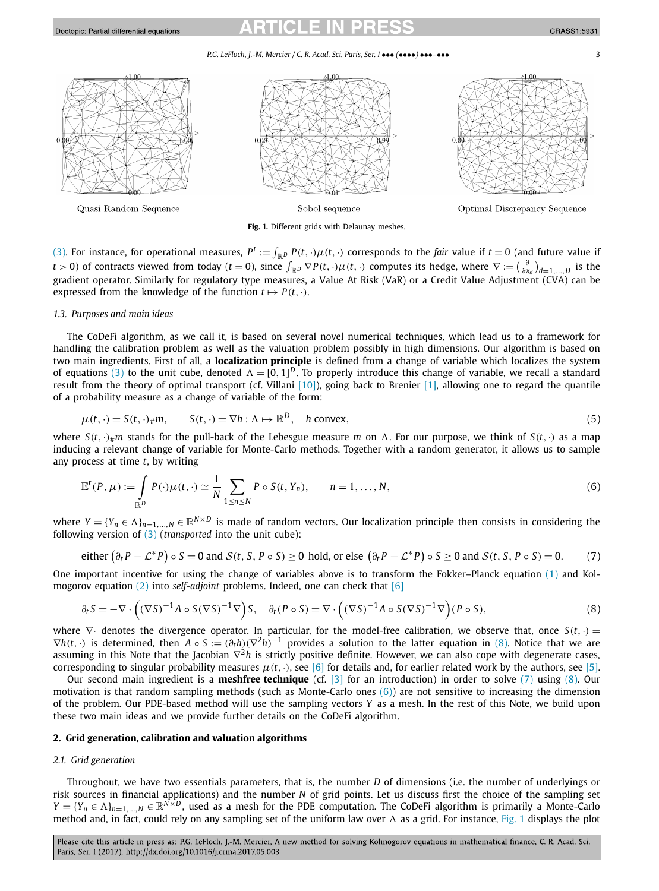# <span id="page-2-0"></span>Doctopic: Partial differential equations

*P.G. LeFloch, J.-M. Mercier / C. R. Acad. Sci. Paris, Ser. I* ••• *(*••••*)* •••*–*••• 3



**Fig. 1.** Different grids with Delaunay meshes.

[\(3\).](#page-1-0) For instance, for operational measures,  $P^t := \int_{\mathbb{R}^D} P(t, \cdot) \mu(t, \cdot)$  corresponds to the *fair* value if  $t = 0$  (and future value if t > 0) of contracts viewed from today (t = 0), since  $\int_{\mathbb{R}^D} \nabla P(t,\cdot) \mu(t,\cdot)$  computes its hedge, where  $\nabla := \left(\frac{\partial}{\partial x_d}\right)_{d=1,...,D}$  is the gradient operator. Similarly for regulatory type measures, a Value At Risk (VaR) or a Credit Value Adjustment (CVA) can be expressed from the knowledge of the function  $t \mapsto P(t, \cdot)$ .

## *1.3. Purposes and main ideas*

The CoDeFi algorithm, as we call it, is based on several novel numerical techniques, which lead us to a framework for handling the calibration problem as well as the valuation problem possibly in high dimensions. Our algorithm is based on two main ingredients. First of all, a **localization principle** is defined from a change of variable which localizes the system of equations [\(3\)](#page-1-0) to the unit cube, denoted  $\Lambda = [0, 1]^D$ . To properly introduce this change of variable, we recall a standard result from the theory of optimal transport (cf. Villani [\[10\]\)](#page-6-0), going back to Brenier [\[1\],](#page-6-0) allowing one to regard the quantile of a probability measure as a change of variable of the form:

$$
\mu(t,\cdot) = S(t,\cdot)_{\#}m, \qquad S(t,\cdot) = \nabla h : \Lambda \mapsto \mathbb{R}^D, \quad h \text{ convex},
$$
\n
$$
(5)
$$

where  $S(t, \cdot)$ <sub>#</sub>m stands for the pull-back of the Lebesgue measure *m* on  $\Lambda$ . For our purpose, we think of  $S(t, \cdot)$  as a map inducing a relevant change of variable for Monte-Carlo methods. Together with a random generator, it allows us to sample any process at time *t*, by writing

$$
\mathbb{E}^{t}(P,\mu) := \int_{\mathbb{R}^{D}} P(\cdot) \mu(t,\cdot) \simeq \frac{1}{N} \sum_{1 \leq n \leq N} P \circ S(t,Y_{n}), \qquad n = 1,\ldots,N,
$$
\n(6)

where  $Y = \{Y_n \in \Lambda\}_{n=1,\dots,N} \in \mathbb{R}^{N \times D}$  is made of random vectors. Our localization principle then consists in considering the following version of [\(3\)](#page-1-0) (*transported* into the unit cube):

either 
$$
(\partial_t P - \mathcal{L}^* P) \circ S = 0
$$
 and  $S(t, S, P \circ S) \ge 0$  hold, or else  $(\partial_t P - \mathcal{L}^* P) \circ S \ge 0$  and  $S(t, S, P \circ S) = 0$ . (7)

One important incentive for using the change of variables above is to transform the Fokker–Planck equation [\(1\)](#page-1-0) and Kolmogorov equation [\(2\)](#page-1-0) into *self-adjoint* problems. Indeed, one can check that [\[6\]](#page-6-0)

$$
\partial_t S = -\nabla \cdot \left( (\nabla S)^{-1} A \circ S (\nabla S)^{-1} \nabla \right) S, \quad \partial_t (P \circ S) = \nabla \cdot \left( (\nabla S)^{-1} A \circ S (\nabla S)^{-1} \nabla \right) (P \circ S), \tag{8}
$$

where ∇· denotes the divergence operator. In particular, for the model-free calibration, we observe that, once *S(t,*·*)* =  $\nabla h(t, \cdot)$  is determined, then  $A \circ S := (\partial_t h)(\nabla^2 h)^{-1}$  provides a solution to the latter equation in (8). Notice that we are assuming in this Note that the Jacobian ∇<sup>2</sup>*h* is strictly positive definite. However, we can also cope with degenerate cases, corresponding to singular probability measures  $\mu(t, \cdot)$ , see [\[6\]](#page-6-0) for details and, for earlier related work by the authors, see [\[5\].](#page-6-0)

Our second main ingredient is a **meshfree technique** (cf. [\[3\]](#page-6-0) for an introduction) in order to solve (7) using (8). Our motivation is that random sampling methods (such as Monte-Carlo ones  $(6)$ ) are not sensitive to increasing the dimension of the problem. Our PDE-based method will use the sampling vectors *Y* as a mesh. In the rest of this Note, we build upon these two main ideas and we provide further details on the CoDeFi algorithm.

# **2. Grid generation, calibration and valuation algorithms**

# *2.1. Grid generation*

Throughout, we have two essentials parameters, that is, the number *D* of dimensions (i.e. the number of underlyings or risk sources in financial applications) and the number *N* of grid points. Let us discuss first the choice of the sampling set  $Y = \{Y_n \in \Lambda\}_{n=1,\dots,N} \in \mathbb{R}^{N \times D}$ , used as a mesh for the PDE computation. The CoDeFi algorithm is primarily a Monte-Carlo method and, in fact, could rely on any sampling set of the uniform law over  $\Lambda$  as a grid. For instance, Fig. 1 displays the plot

Please cite this article in press as: P.G. LeFloch, J.-M. Mercier, A new method for solving Kolmogorov equations in mathematical finance, C. R. Acad. Sci. Paris, Ser. I (2017), http://dx.doi.org/10.1016/j.crma.2017.05.003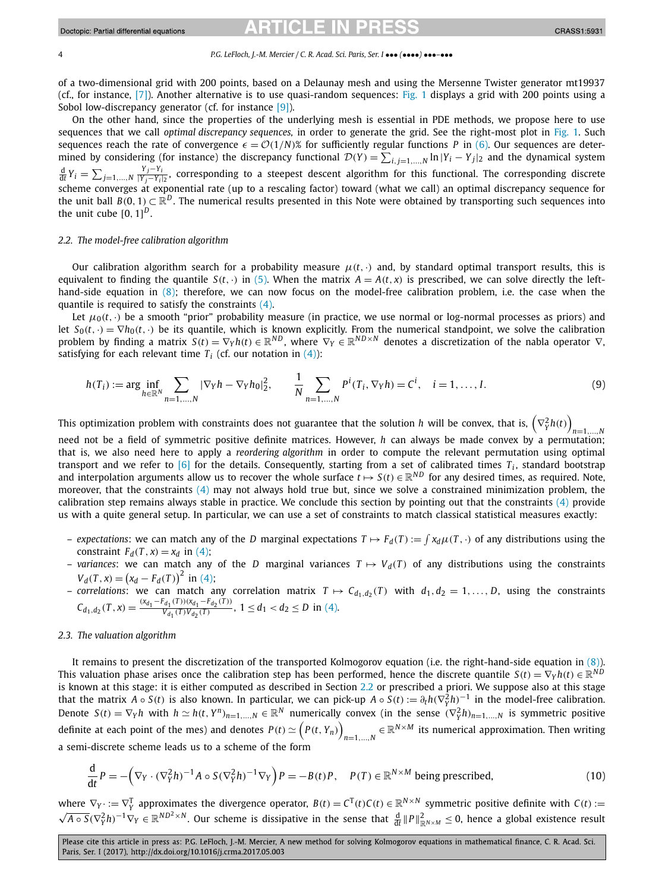#### <span id="page-3-0"></span>4 *P.G. LeFloch, J.-M. Mercier / C. R. Acad. Sci. Paris, Ser. I* ••• *(*••••*)* •••*–*•••

of a two-dimensional grid with 200 points, based on a Delaunay mesh and using the Mersenne Twister generator mt19937 (cf., for instance, [\[7\]\)](#page-6-0). Another alternative is to use quasi-random sequences: [Fig. 1](#page-2-0) displays a grid with 200 points using a Sobol low-discrepancy generator (cf. for instance [\[9\]\)](#page-6-0).

On the other hand, since the properties of the underlying mesh is essential in PDE methods, we propose here to use sequences that we call *optimal discrepancy sequences,* in order to generate the grid. See the right-most plot in [Fig. 1.](#page-2-0) Such sequences reach the rate of convergence  $\epsilon = \mathcal{O}(1/N)$ % for sufficiently regular functions *P* in [\(6\).](#page-2-0) Our sequences are determined by considering (for instance) the discrepancy functional  $\mathcal{D}(Y) = \sum_{i,j=1,\dots,N} \ln|Y_i - Y_j|$  and the dynamical system  $\frac{d}{dt}Y_i = \sum_{j=1,...,N} \frac{Y_j - Y_i}{|Y_j - Y_i|_2}$ , corresponding to a steepest descent algorithm for this functional. The corresponding discrete scheme converges at exponential rate (up to a rescaling factor) toward (what we call) an optimal discrepancy sequence for the unit ball  $B(0, 1) \subset \mathbb{R}^D$ . The numerical results presented in this Note were obtained by transporting such sequences into the unit cube  $[0, 1]^{D}$ .

# *2.2. The model-free calibration algorithm*

Our calibration algorithm search for a probability measure  $\mu(t, \cdot)$  and, by standard optimal transport results, this is equivalent to finding the quantile  $S(t, \cdot)$  in [\(5\).](#page-2-0) When the matrix  $A = A(t, x)$  is prescribed, we can solve directly the left-hand-side equation in [\(8\);](#page-2-0) therefore, we can now focus on the model-free calibration problem, i.e. the case when the quantile is required to satisfy the constraints [\(4\).](#page-1-0)

Let  $\mu_0(t, \cdot)$  be a smooth "prior" probability measure (in practice, we use normal or log-normal processes as priors) and let  $S_0(t, \cdot) = \nabla h_0(t, \cdot)$  be its quantile, which is known explicitly. From the numerical standpoint, we solve the calibration problem by finding a matrix  $S(t) = \nabla_{Y}h(t) \in \mathbb{R}^{ND}$ , where  $\nabla_{Y} \in \mathbb{R}^{ND \times N}$  denotes a discretization of the nabla operator  $\nabla$ , satisfying for each relevant time  $T_i$  (cf. our notation in [\(4\)\)](#page-1-0):

$$
h(T_i) := \arg \inf_{h \in \mathbb{R}^N} \sum_{n=1,\dots,N} |\nabla_Y h - \nabla_Y h_0|_2^2, \qquad \frac{1}{N} \sum_{n=1,\dots,N} P^i(T_i, \nabla_Y h) = C^i, \quad i = 1,\dots,I.
$$
 (9)

This optimization problem with constraints does not guarantee that the solution  $h$  will be convex, that is,  $\left(\nabla^2_\gamma h(t)\right)$ 

*n*=1*,...,N* need not be a field of symmetric positive definite matrices. However, *h* can always be made convex by a permutation; that is, we also need here to apply a *reordering algorithm* in order to compute the relevant permutation using optimal transport and we refer to  $[6]$  for the details. Consequently, starting from a set of calibrated times  $T_i$ , standard bootstrap and interpolation arguments allow us to recover the whole surface  $t \mapsto S(t) \in \mathbb{R}^{ND}$  for any desired times, as required. Note, moreover, that the constraints [\(4\)](#page-1-0) may not always hold true but, since we solve a constrained minimization problem, the calibration step remains always stable in practice. We conclude this section by pointing out that the constraints [\(4\)](#page-1-0) provide us with a quite general setup. In particular, we can use a set of constraints to match classical statistical measures exactly:

- *expectations*: we can match any of the *D* marginal expectations  $T \mapsto F_d(T) := \int x_d \mu(T, \cdot)$  of any distributions using the constraint  $F_d(T, x) = x_d$  in [\(4\);](#page-1-0)
- *variances*: we can match any of the *D* marginal variances  $T \mapsto V_d(T)$  of any distributions using the constraints  $V_d(T, x) = (x_d - F_d(T))^2$  in [\(4\);](#page-1-0)
- *correlations*: we can match any correlation matrix  $T \mapsto C_{d_1,d_2}(T)$  with  $d_1, d_2 = 1, \ldots, D$ , using the constraints  $C_{d_1,d_2}(T,x) = \frac{(x_{d_1} - F_{d_1}(T))(x_{d_1} - F_{d_2}(T))}{V_{d_1}(T)V_{d_2}(T)}, 1 \le d_1 < d_2 \le D$  in [\(4\).](#page-1-0)

#### *2.3. The valuation algorithm*

It remains to present the discretization of the transported Kolmogorov equation (i.e. the right-hand-side equation in [\(8\)\)](#page-2-0). This valuation phase arises once the calibration step has been performed, hence the discrete quantile  $S(t) = \nabla_{Y} h(t) \in \mathbb{R}^{ND}$ is known at this stage: it is either computed as described in Section 2.2 or prescribed a priori. We suppose also at this stage that the matrix  $A \circ S(t)$  is also known. In particular, we can pick-up  $A \circ S(t) := \partial_t h(\nabla_Y^2 h)^{-1}$  in the model-free calibration. Denote  $S(t) = \nabla_Y h$  with  $h \simeq h(t, Y^n)_{n=1,...,N} \in \mathbb{R}^N$  numerically convex (in the sense  $(\nabla_Y^2 h)_{n=1,...,N}$  is symmetric positive definite at each point of the mes) and denotes  $P(t) \simeq \Big(P(t, Y_n)\Big)$  $n=1,...,N} \in \mathbb{R}^{N \times M}$  its numerical approximation. Then writing a semi-discrete scheme leads us to a scheme of the form

$$
\frac{\mathrm{d}}{\mathrm{d}t}P = -\left(\nabla_Y \cdot (\nabla_Y^2 h)^{-1} A \circ S (\nabla_Y^2 h)^{-1} \nabla_Y \right) P = -B(t)P, \quad P(T) \in \mathbb{R}^{N \times M} \text{ being prescribed,}
$$
\n(10)

where  $\nabla_Y := \nabla_Y^T$  approximates the divergence operator,  $B(t) = C^T(t)C(t) \in \mathbb{R}^{N \times N}$  symmetric positive definite with  $C(t) := \sqrt{A \circ S}(\nabla_Y^2 h)^{-1} \nabla_Y \in \mathbb{R}^{ND^2 \times N}$ . Our scheme is dissipative in the sense that  $\frac{d}{dt$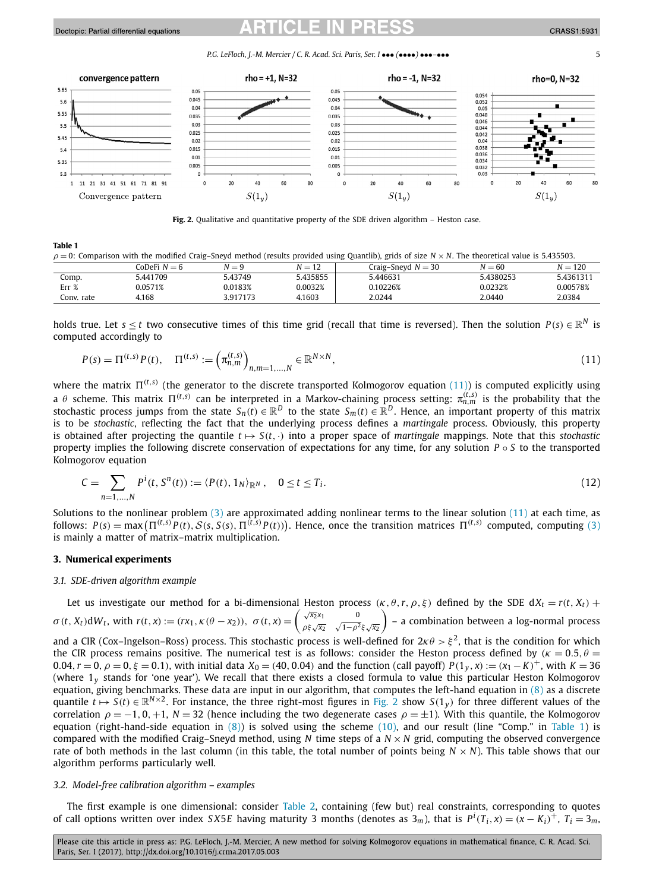### Doctopic: Partial differential equations

*P.G. LeFloch, J.-M. Mercier / C. R. Acad. Sci. Paris, Ser. I* ••• *(*••••*)* •••*–*••• 5



**Fig. 2.** Qualitative and quantitative property of the SDE driven algorithm – Heston case.

#### **Table 1**

| $\rho = 0$ : Comparison with the modified Craig–Sneyd method (results provided using Quantlib), grids of size N × N. The theoretical value is 5.435503. |  |  |  |
|---------------------------------------------------------------------------------------------------------------------------------------------------------|--|--|--|
|---------------------------------------------------------------------------------------------------------------------------------------------------------|--|--|--|

|            | ^oDeFi<br>$N = 6$ | $N = 9$  | M<br>$-$<br>$\sim$ | Craig–Sneyd $N = 30$ | $N = 60$  | $N = 120$ |
|------------|-------------------|----------|--------------------|----------------------|-----------|-----------|
| Comp.      | 5.441709          | 5.43749  | 5.435855           | .3.446631            | 5.438025? | 5.4361311 |
| Err %      | 0.0571%           | 0.0183%  | 0.0032%            | 0.10226%             | 0.0232%   | 0.00578%  |
| Conv. rate | 4.168             | 3.917173 | 4.1603             | 2.0244               | 2.0440    | 2.0384    |

holds true. Let *s*  $\le$  *t* two consecutive times of this time grid (recall that time is reversed). Then the solution *P*(*s*)  $\in \mathbb{R}^N$  is computed accordingly to

$$
P(s) = \Pi^{(t,s)} P(t), \quad \Pi^{(t,s)} := \left(\pi_{n,m}^{(t,s)}\right)_{n,m=1,\dots,N} \in \mathbb{R}^{N \times N},\tag{11}
$$

where the matrix  $\Pi^{(t,s)}$  (the generator to the discrete transported Kolmogorov equation (11)) is computed explicitly using a *θ* scheme. This matrix  $\Pi^{(t,s)}$  can be interpreted in a Markov-chaining process setting:  $\pi^{(t,s)}_{n,m}$  is the probability that the stochastic process jumps from the state  $S_n(t) \in \mathbb{R}^D$  to the state  $S_m(t) \in \mathbb{R}^D$ . Hence, an important property of this matrix is to be *stochastic*, reflecting the fact that the underlying process defines a *martingale* process. Obviously, this property is obtained after projecting the quantile  $t \mapsto S(t, \cdot)$  into a proper space of *martingale* mappings. Note that this *stochastic* property implies the following discrete conservation of expectations for any time, for any solution *P* ◦ *S* to the transported Kolmogorov equation

$$
C = \sum_{n=1,...,N} P^{i}(t, S^{n}(t)) := \langle P(t), 1_{N} \rangle_{\mathbb{R}^{N}}, \quad 0 \le t \le T_{i}.
$$
\n(12)

Solutions to the nonlinear problem  $(3)$  are approximated adding nonlinear terms to the linear solution  $(11)$  at each time, as follows:  $P(s) = \max(\Pi^{(t,s)} P(t), S(s, S(s), \Pi^{(t,s)} P(t)))$ . Hence, once the transition matrices  $\Pi^{(t,s)}$  computed, computing [\(3\)](#page-1-0) is mainly a matter of matrix–matrix multiplication.

## **3. Numerical experiments**

#### *3.1. SDE-driven algorithm example*

Let us investigate our method for a bi-dimensional Heston process  $(\kappa, \theta, r, \rho, \xi)$  defined by the SDE  $dX_t = r(t, X_t)$  +  $\sigma(t, X_t) dW_t$ , with  $r(t, x) := (rx_1, \kappa(\theta - x_2)), \ \sigma(t, x) = \begin{cases} \sqrt{x_2}x_1 & \text{if } 0 \leq t \leq 0 \\ \sqrt{x_2}x_2 & \text{if } 0 \leq t \leq 0 \end{cases}$  $\sqrt{x_2}$ <sub>*x*1</sub></sub>  $\sqrt{1-\rho^2}$ *ξ* $\sqrt{x_2}$   $\Big)$  − a combination between a log-normal process and a CIR (Cox–Ingelson–Ross) process. This stochastic process is well-defined for  $2\kappa\theta > \xi^2$ , that is the condition for which the CIR process remains positive. The numerical test is as follows: consider the Heston process defined by *(κ* = 0*.*5*, θ* = 0.04,  $r = 0$ ,  $\rho = 0$ ,  $\xi = 0.1$ ), with initial data  $X_0 = (40, 0.04)$  and the function (call payoff)  $P(1_v, x) := (x_1 - K)^+$ , with  $K = 36$ (where 1*<sup>y</sup>* stands for 'one year'). We recall that there exists a closed formula to value this particular Heston Kolmogorov equation, giving benchmarks. These data are input in our algorithm, that computes the left-hand equation in  $(8)$  as a discrete quantile  $t \mapsto S(t) \in \mathbb{R}^{N \times 2}$ . For instance, the three right-most figures in Fig. 2 show  $S(1_v)$  for three different values of the correlation  $\rho = -1, 0, +1, N = 32$  (hence including the two degenerate cases  $\rho = \pm 1$ ). With this quantile, the Kolmogorov equation (right-hand-side equation in  $(8)$ ) is solved using the scheme  $(10)$ , and our result (line "Comp." in Table 1) is compared with the modified Craig–Sneyd method, using *N* time steps of a  $N \times N$  grid, computing the observed convergence rate of both methods in the last column (in this table, the total number of points being  $N \times N$ ). This table shows that our algorithm performs particularly well.

### *3.2. Model-free calibration algorithm – examples*

The first example is one dimensional: consider [Table 2,](#page-5-0) containing (few but) real constraints, corresponding to quotes of call options written over index SX5E having maturity 3 months (denotes as  $3_m$ ), that is  $P^i(T_i,x) = (x - K_i)^+$ ,  $T_i = 3_m$ ,

Please cite this article in press as: P.G. LeFloch, J.-M. Mercier, A new method for solving Kolmogorov equations in mathematical finance, C. R. Acad. Sci. Paris, Ser. I (2017), http://dx.doi.org/10.1016/j.crma.2017.05.003

CRASS1:5931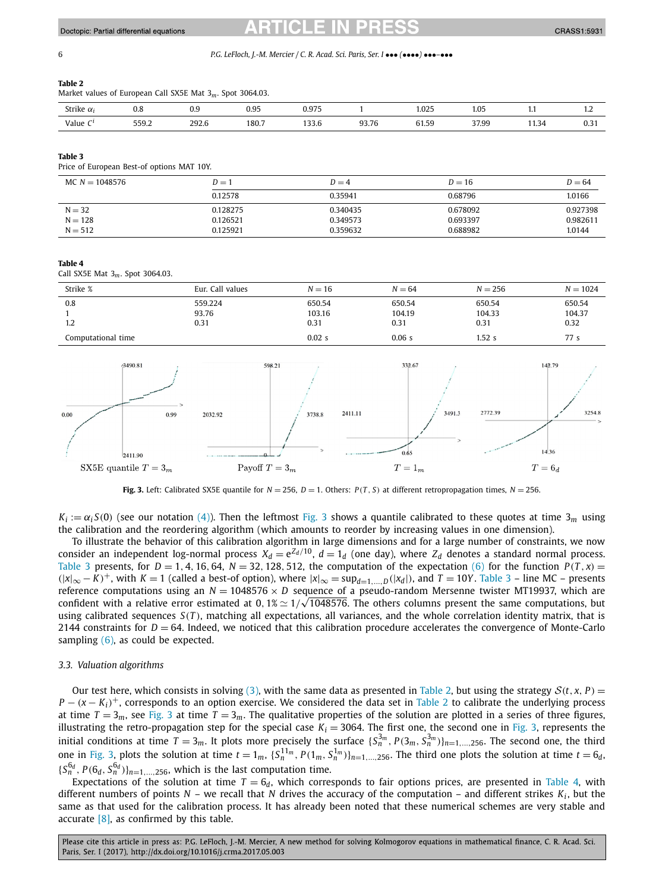#### <span id="page-5-0"></span>6 *P.G. LeFloch, J.-M. Mercier / C. R. Acad. Sci. Paris, Ser. I* ••• *(*••••*)* •••*–*•••

#### **Table 2**

Market values of European Call SX5E Mat 3*m*. Spot 3064.03.

| strike<br>$\alpha$ | v.o<br>.            | ັບ.ບ<br>. | n ne<br>ບ.ບມ<br>. | 075<br><b>U.JIJ</b>   |            | 025<br>1.UZJ<br>.                      | $\Omega$<br>1.UJ<br>. |                | $\overline{1}$             |
|--------------------|---------------------|-----------|-------------------|-----------------------|------------|----------------------------------------|-----------------------|----------------|----------------------------|
| Value<br>-<br>.    | 550.2<br>JJJ.L<br>. | 292.6     | 180.7<br>.        | $\cdots$<br>JJ.U<br>. | 93.76<br>. | $\sim$<br>$\sim$<br>. .<br>ບ 1.ປັ<br>. | 37.99<br>.            | $\sim$<br>1.34 | $\sim$ $\sim$<br>U.J.<br>. |

#### **Table 3**

Price of European Best-of options MAT 10Y.

| MC $N = 1048576$ | $D=1$    | $D = 16$<br>$D=4$ |          | $D = 64$ |
|------------------|----------|-------------------|----------|----------|
|                  | 0.12578  | 0.35941           | 0.68796  | 1.0166   |
| $N = 32$         | 0.128275 | 0.340435          | 0.678092 | 0.927398 |
| $N = 128$        | 0.126521 | 0.349573          | 0.693397 | 0.982611 |
| $N = 512$        | 0.125921 | 0.359632          | 0.688982 | 1.0144   |

#### **Table 4**

Call SX5E Mat 3*m*. Spot 3064.03.

| Strike %           | Eur. Call values | $N = 16$ | $N = 64$ | $N = 256$ | $N = 1024$ |
|--------------------|------------------|----------|----------|-----------|------------|
| 0.8                | 559.224          | 650.54   | 650.54   | 650.54    | 650.54     |
|                    | 93.76            | 103.16   | 104.19   | 104.33    | 104.37     |
| 1.2                | 0.31             | 0.31     | 0.31     | 0.31      | 0.32       |
| Computational time |                  | 0.02s    | 0.06s    | 1.52s     | 77 s       |



**Fig. 3.** Left: Calibrated SX5E quantile for  $N = 256$ ,  $D = 1$ . Others:  $P(T, S)$  at different retropropagation times,  $N = 256$ .

 $K_i := \alpha_i S(0)$  (see our notation [\(4\)\)](#page-1-0). Then the leftmost Fig. 3 shows a quantile calibrated to these quotes at time 3<sub>*m*</sub> using the calibration and the reordering algorithm (which amounts to reorder by increasing values in one dimension).

To illustrate the behavior of this calibration algorithm in large dimensions and for a large number of constraints, we now consider an independent log-normal process  $X_d = e^{Z_d/10}$ ,  $d = 1_d$  (one day), where  $Z_d$  denotes a standard normal process. Table 3 presents, for  $D = 1, 4, 16, 64, N = 32, 128, 512$ , the computation of the expectation [\(6\)](#page-2-0) for the function  $P(T, x) =$  $(|x|_{∞} - K)^+$ , with *K* = 1 (called a best-of option), where  $|x|_{∞} = \sup_{d=1,...,D} (|x_d|)$ , and *T* = 10*Y* . Table 3 – line MC – presents reference computations using an *N* = 1048576 × *D* sequence of a pseudo-random Mersenne twister MT19937, which are reference computations using an *N* = 1048576 × *D* sequence of a pseudo-random Mersenne twister M119937, which are<br>confident with a relative error estimated at 0,1% ≈ 1/√1048576. The others columns present the same compu using calibrated sequences *S(T )*, matching all expectations, all variances, and the whole correlation identity matrix, that is 2144 constraints for  $D = 64$ . Indeed, we noticed that this calibration procedure accelerates the convergence of Monte-Carlo sampling  $(6)$ , as could be expected.

## *3.3. Valuation algorithms*

Our test here, which consists in solving [\(3\),](#page-1-0) with the same data as presented in Table 2, but using the strategy  $S(t, x, P)$  =  $P - (x - K_i)^+$ , corresponds to an option exercise. We considered the data set in Table 2 to calibrate the underlying process at time  $T = 3_m$ , see Fig. 3 at time  $T = 3_m$ . The qualitative properties of the solution are plotted in a series of three figures, illustrating the retro-propagation step for the special case  $K_i = 3064$ . The first one, the second one in Fig. 3, represents the initial conditions at time  $T=3_m$ . It plots more precisely the surface  $\{S_n^{3_m},P(3_m,S_n^{3_m})\}_{n=1,...,256}$ . The second one, the third one in Fig. 3, plots the solution at time  $t=1_m$ ,  $\{S_n^{11_m}, P(1_m, S_n^{1_m})\}_{n=1,\dots,256}$ . The third one plots the solution at time  $t=6_d$ ,  ${S_n^{\mathsf{G}_d}, P(\mathsf{G}_d, S_n^{\mathsf{G}_d})}_{n=1,\dots,256}$ , which is the last computation time.

Expectations of the solution at time  $T = 6<sub>d</sub>$ , which corresponds to fair options prices, are presented in Table 4, with different numbers of points  $N -$  we recall that  $N$  drives the accuracy of the computation – and different strikes  $K_i$ , but the same as that used for the calibration process. It has already been noted that these numerical schemes are very stable and accurate  $[8]$ , as confirmed by this table.

Please cite this article in press as: P.G. LeFloch, J.-M. Mercier, A new method for solving Kolmogorov equations in mathematical finance, C. R. Acad. Sci. Paris, Ser. I (2017), http://dx.doi.org/10.1016/j.crma.2017.05.003